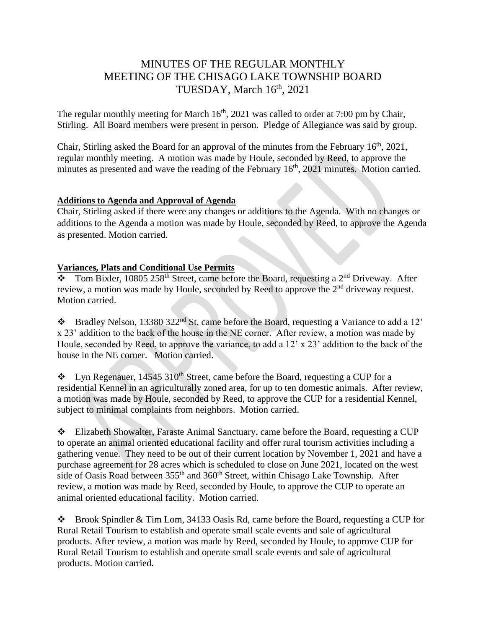# MINUTES OF THE REGULAR MONTHLY MEETING OF THE CHISAGO LAKE TOWNSHIP BOARD TUESDAY, March 16th, 2021

The regular monthly meeting for March  $16<sup>th</sup>$ , 2021 was called to order at 7:00 pm by Chair, Stirling. All Board members were present in person. Pledge of Allegiance was said by group.

Chair, Stirling asked the Board for an approval of the minutes from the February  $16<sup>th</sup>$ , 2021, regular monthly meeting. A motion was made by Houle, seconded by Reed, to approve the minutes as presented and wave the reading of the February  $16<sup>th</sup>$ , 2021 minutes. Motion carried.

### **Additions to Agenda and Approval of Agenda**

Chair, Stirling asked if there were any changes or additions to the Agenda. With no changes or additions to the Agenda a motion was made by Houle, seconded by Reed, to approve the Agenda as presented. Motion carried.

## **Variances, Plats and Conditional Use Permits**

 $\frac{1}{2}$  Tom Bixler, 10805 258<sup>th</sup> Street, came before the Board, requesting a 2<sup>nd</sup> Driveway. After review, a motion was made by Houle, seconded by Reed to approve the 2<sup>nd</sup> driveway request. Motion carried.

❖ Bradley Nelson, 13380 322nd St, came before the Board, requesting a Variance to add a 12' x 23' addition to the back of the house in the NE corner. After review, a motion was made by Houle, seconded by Reed, to approve the variance, to add a 12' x 23' addition to the back of the house in the NE corner. Motion carried.

 $\bullet$  Lyn Regenauer, 14545 310<sup>th</sup> Street, came before the Board, requesting a CUP for a residential Kennel in an agriculturally zoned area, for up to ten domestic animals. After review, a motion was made by Houle, seconded by Reed, to approve the CUP for a residential Kennel, subject to minimal complaints from neighbors. Motion carried.

❖ Elizabeth Showalter, Faraste Animal Sanctuary, came before the Board, requesting a CUP to operate an animal oriented educational facility and offer rural tourism activities including a gathering venue. They need to be out of their current location by November 1, 2021 and have a purchase agreement for 28 acres which is scheduled to close on June 2021, located on the west side of Oasis Road between 355<sup>th</sup> and 360<sup>th</sup> Street, within Chisago Lake Township. After review, a motion was made by Reed, seconded by Houle, to approve the CUP to operate an animal oriented educational facility. Motion carried.

❖ Brook Spindler & Tim Lom, 34133 Oasis Rd, came before the Board, requesting a CUP for Rural Retail Tourism to establish and operate small scale events and sale of agricultural products. After review, a motion was made by Reed, seconded by Houle, to approve CUP for Rural Retail Tourism to establish and operate small scale events and sale of agricultural products. Motion carried.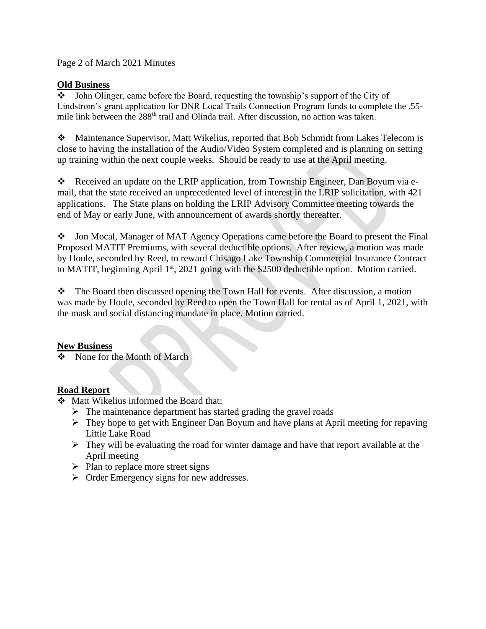Page 2 of March 2021 Minutes

#### **Old Business**

❖ John Olinger, came before the Board, requesting the township's support of the City of Lindstrom's grant application for DNR Local Trails Connection Program funds to complete the .55 mile link between the 288<sup>th</sup> trail and Olinda trail. After discussion, no action was taken.

❖ Maintenance Supervisor, Matt Wikelius, reported that Bob Schmidt from Lakes Telecom is close to having the installation of the Audio/Video System completed and is planning on setting up training within the next couple weeks. Should be ready to use at the April meeting.

 $\triangle$  Received an update on the LRIP application, from Township Engineer, Dan Boyum via email, that the state received an unprecedented level of interest in the LRIP solicitation, with 421 applications. The State plans on holding the LRIP Advisory Committee meeting towards the end of May or early June, with announcement of awards shortly thereafter.

❖ Jon Mocal, Manager of MAT Agency Operations came before the Board to present the Final Proposed MATIT Premiums, with several deductible options. After review, a motion was made by Houle, seconded by Reed, to reward Chisago Lake Township Commercial Insurance Contract to MATIT, beginning April 1<sup>st</sup>, 2021 going with the \$2500 deductible option. Motion carried.

❖ The Board then discussed opening the Town Hall for events. After discussion, a motion was made by Houle, seconded by Reed to open the Town Hall for rental as of April 1, 2021, with the mask and social distancing mandate in place. Motion carried.

#### **New Business**

❖ None for the Month of March

## **Road Report**

- ❖ Matt Wikelius informed the Board that:
	- $\triangleright$  The maintenance department has started grading the gravel roads
	- ➢ They hope to get with Engineer Dan Boyum and have plans at April meeting for repaving Little Lake Road
	- ➢ They will be evaluating the road for winter damage and have that report available at the April meeting
	- $\triangleright$  Plan to replace more street signs
	- ➢ Order Emergency signs for new addresses.